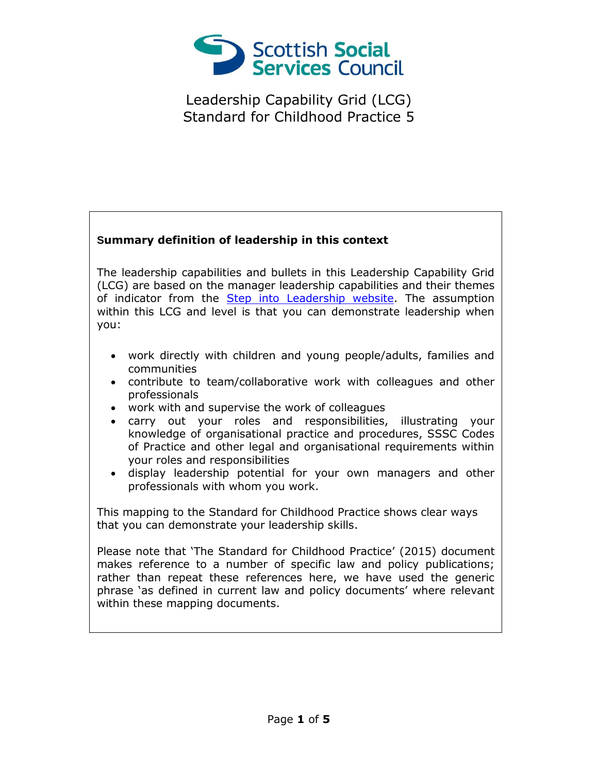

## **Summary definition of leadership in this context**

The leadership capabilities and bullets in this Leadership Capability Grid (LCG) are based on the manager leadership capabilities and their themes of indicator from the [Step into Leadership website.](http://www.stepintoleadership.info/) The assumption within this LCG and level is that you can demonstrate leadership when you:

- work directly with children and young people/adults, families and communities
- contribute to team/collaborative work with colleagues and other professionals
- work with and supervise the work of colleagues
- carry out your roles and responsibilities, illustrating your knowledge of organisational practice and procedures, SSSC Codes of Practice and other legal and organisational requirements within your roles and responsibilities
- display leadership potential for your own managers and other professionals with whom you work.

This mapping to the Standard for Childhood Practice shows clear ways that you can demonstrate your leadership skills.

Please note that 'The Standard for Childhood Practice' (2015) document makes reference to a number of specific law and policy publications; rather than repeat these references here, we have used the generic phrase 'as defined in current law and policy documents' where relevant within these mapping documents.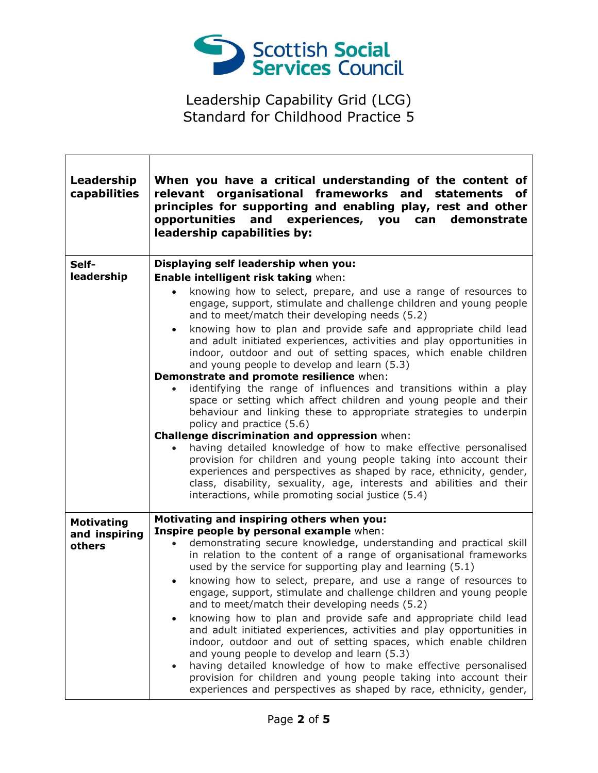

 $\Gamma$ 

| Leadership<br>capabilities | When you have a critical understanding of the content of<br>relevant organisational frameworks and statements of<br>principles for supporting and enabling play, rest and other<br>opportunities and experiences, you can demonstrate<br>leadership capabilities by:                                                                                                                                                                                                                   |
|----------------------------|----------------------------------------------------------------------------------------------------------------------------------------------------------------------------------------------------------------------------------------------------------------------------------------------------------------------------------------------------------------------------------------------------------------------------------------------------------------------------------------|
| Self-<br>leadership        | Displaying self leadership when you:<br>Enable intelligent risk taking when:<br>knowing how to select, prepare, and use a range of resources to                                                                                                                                                                                                                                                                                                                                        |
|                            | engage, support, stimulate and challenge children and young people<br>and to meet/match their developing needs (5.2)                                                                                                                                                                                                                                                                                                                                                                   |
|                            | knowing how to plan and provide safe and appropriate child lead<br>$\bullet$<br>and adult initiated experiences, activities and play opportunities in<br>indoor, outdoor and out of setting spaces, which enable children<br>and young people to develop and learn (5.3)                                                                                                                                                                                                               |
|                            | Demonstrate and promote resilience when:                                                                                                                                                                                                                                                                                                                                                                                                                                               |
|                            | identifying the range of influences and transitions within a play<br>space or setting which affect children and young people and their<br>behaviour and linking these to appropriate strategies to underpin<br>policy and practice (5.6)                                                                                                                                                                                                                                               |
|                            | Challenge discrimination and oppression when:                                                                                                                                                                                                                                                                                                                                                                                                                                          |
|                            | having detailed knowledge of how to make effective personalised<br>provision for children and young people taking into account their<br>experiences and perspectives as shaped by race, ethnicity, gender,<br>class, disability, sexuality, age, interests and abilities and their<br>interactions, while promoting social justice (5.4)                                                                                                                                               |
| <b>Motivating</b>          | Motivating and inspiring others when you:                                                                                                                                                                                                                                                                                                                                                                                                                                              |
| and inspiring<br>others    | Inspire people by personal example when:<br>demonstrating secure knowledge, understanding and practical skill<br>in relation to the content of a range of organisational frameworks<br>used by the service for supporting play and learning (5.1)<br>knowing how to select, prepare, and use a range of resources to<br>$\bullet$                                                                                                                                                      |
|                            | engage, support, stimulate and challenge children and young people<br>and to meet/match their developing needs (5.2)                                                                                                                                                                                                                                                                                                                                                                   |
|                            | knowing how to plan and provide safe and appropriate child lead<br>and adult initiated experiences, activities and play opportunities in<br>indoor, outdoor and out of setting spaces, which enable children<br>and young people to develop and learn (5.3)<br>having detailed knowledge of how to make effective personalised<br>$\bullet$<br>provision for children and young people taking into account their<br>experiences and perspectives as shaped by race, ethnicity, gender, |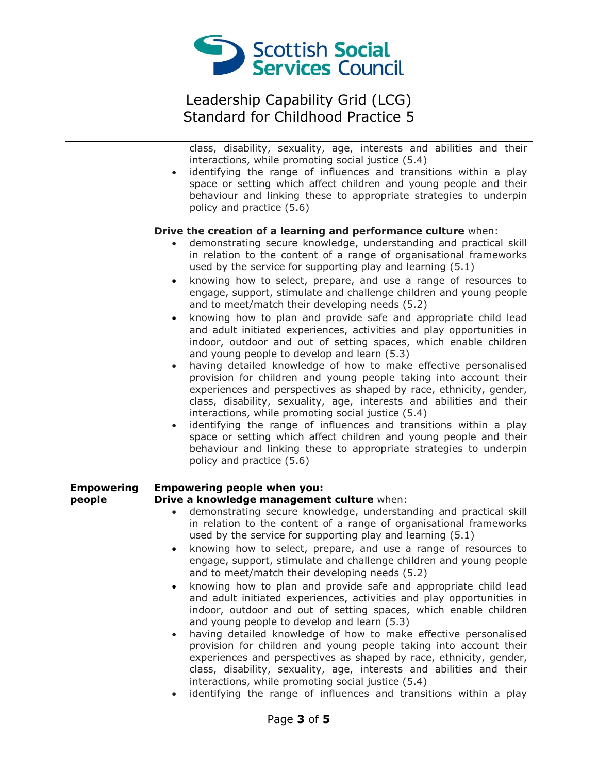

|                             | class, disability, sexuality, age, interests and abilities and their<br>interactions, while promoting social justice (5.4)<br>identifying the range of influences and transitions within a play<br>$\bullet$<br>space or setting which affect children and young people and their<br>behaviour and linking these to appropriate strategies to underpin<br>policy and practice (5.6)                                                                                                                                                                                                                                                                                                                                                                                                                                                                                                                                                                                                                                                                                                                                                                                                                                                                                                                                                                                           |
|-----------------------------|-------------------------------------------------------------------------------------------------------------------------------------------------------------------------------------------------------------------------------------------------------------------------------------------------------------------------------------------------------------------------------------------------------------------------------------------------------------------------------------------------------------------------------------------------------------------------------------------------------------------------------------------------------------------------------------------------------------------------------------------------------------------------------------------------------------------------------------------------------------------------------------------------------------------------------------------------------------------------------------------------------------------------------------------------------------------------------------------------------------------------------------------------------------------------------------------------------------------------------------------------------------------------------------------------------------------------------------------------------------------------------|
|                             | Drive the creation of a learning and performance culture when:<br>demonstrating secure knowledge, understanding and practical skill<br>in relation to the content of a range of organisational frameworks<br>used by the service for supporting play and learning (5.1)<br>knowing how to select, prepare, and use a range of resources to<br>$\bullet$<br>engage, support, stimulate and challenge children and young people<br>and to meet/match their developing needs (5.2)<br>knowing how to plan and provide safe and appropriate child lead<br>$\bullet$<br>and adult initiated experiences, activities and play opportunities in<br>indoor, outdoor and out of setting spaces, which enable children<br>and young people to develop and learn (5.3)<br>having detailed knowledge of how to make effective personalised<br>$\bullet$<br>provision for children and young people taking into account their<br>experiences and perspectives as shaped by race, ethnicity, gender,<br>class, disability, sexuality, age, interests and abilities and their<br>interactions, while promoting social justice (5.4)<br>identifying the range of influences and transitions within a play<br>$\bullet$<br>space or setting which affect children and young people and their<br>behaviour and linking these to appropriate strategies to underpin<br>policy and practice (5.6) |
| <b>Empowering</b><br>people | <b>Empowering people when you:</b><br>Drive a knowledge management culture when:<br>demonstrating secure knowledge, understanding and practical skill<br>$\bullet$<br>in relation to the content of a range of organisational frameworks<br>used by the service for supporting play and learning (5.1)<br>knowing how to select, prepare, and use a range of resources to<br>$\bullet$<br>engage, support, stimulate and challenge children and young people<br>and to meet/match their developing needs (5.2)<br>knowing how to plan and provide safe and appropriate child lead<br>and adult initiated experiences, activities and play opportunities in<br>indoor, outdoor and out of setting spaces, which enable children<br>and young people to develop and learn (5.3)<br>having detailed knowledge of how to make effective personalised<br>$\bullet$<br>provision for children and young people taking into account their<br>experiences and perspectives as shaped by race, ethnicity, gender,<br>class, disability, sexuality, age, interests and abilities and their<br>interactions, while promoting social justice (5.4)<br>identifying the range of influences and transitions within a play                                                                                                                                                                   |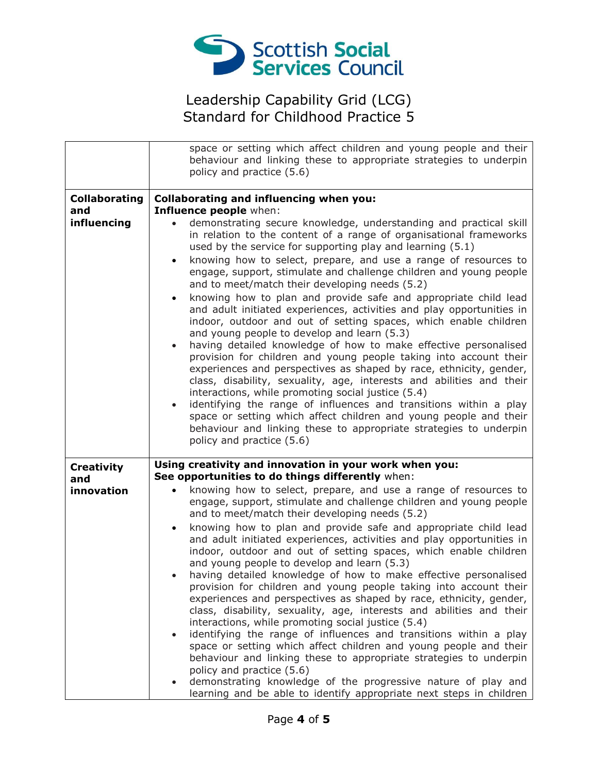

|                                            | space or setting which affect children and young people and their<br>behaviour and linking these to appropriate strategies to underpin<br>policy and practice (5.6)                                                                                                                                                                                                                                                                                                                                                                                                                                                                                                                                                                                                                                                                                                                                                                                                                                                                                                                                                                                                                                                                                                                                                                                                              |
|--------------------------------------------|----------------------------------------------------------------------------------------------------------------------------------------------------------------------------------------------------------------------------------------------------------------------------------------------------------------------------------------------------------------------------------------------------------------------------------------------------------------------------------------------------------------------------------------------------------------------------------------------------------------------------------------------------------------------------------------------------------------------------------------------------------------------------------------------------------------------------------------------------------------------------------------------------------------------------------------------------------------------------------------------------------------------------------------------------------------------------------------------------------------------------------------------------------------------------------------------------------------------------------------------------------------------------------------------------------------------------------------------------------------------------------|
| <b>Collaborating</b><br>and<br>influencing | Collaborating and influencing when you:<br>Influence people when:<br>demonstrating secure knowledge, understanding and practical skill<br>in relation to the content of a range of organisational frameworks<br>used by the service for supporting play and learning (5.1)<br>knowing how to select, prepare, and use a range of resources to<br>$\bullet$<br>engage, support, stimulate and challenge children and young people<br>and to meet/match their developing needs (5.2)<br>knowing how to plan and provide safe and appropriate child lead<br>$\bullet$<br>and adult initiated experiences, activities and play opportunities in<br>indoor, outdoor and out of setting spaces, which enable children<br>and young people to develop and learn (5.3)<br>having detailed knowledge of how to make effective personalised<br>$\bullet$<br>provision for children and young people taking into account their<br>experiences and perspectives as shaped by race, ethnicity, gender,<br>class, disability, sexuality, age, interests and abilities and their<br>interactions, while promoting social justice (5.4)<br>identifying the range of influences and transitions within a play<br>$\bullet$<br>space or setting which affect children and young people and their<br>behaviour and linking these to appropriate strategies to underpin<br>policy and practice (5.6) |
| <b>Creativity</b><br>and<br>innovation     | Using creativity and innovation in your work when you:<br>See opportunities to do things differently when:<br>knowing how to select, prepare, and use a range of resources to<br>engage, support, stimulate and challenge children and young people<br>and to meet/match their developing needs (5.2)<br>knowing how to plan and provide safe and appropriate child lead<br>$\bullet$<br>and adult initiated experiences, activities and play opportunities in<br>indoor, outdoor and out of setting spaces, which enable children<br>and young people to develop and learn (5.3)<br>having detailed knowledge of how to make effective personalised<br>provision for children and young people taking into account their<br>experiences and perspectives as shaped by race, ethnicity, gender,<br>class, disability, sexuality, age, interests and abilities and their<br>interactions, while promoting social justice (5.4)<br>identifying the range of influences and transitions within a play<br>$\bullet$<br>space or setting which affect children and young people and their<br>behaviour and linking these to appropriate strategies to underpin<br>policy and practice (5.6)<br>demonstrating knowledge of the progressive nature of play and<br>learning and be able to identify appropriate next steps in children                                                   |